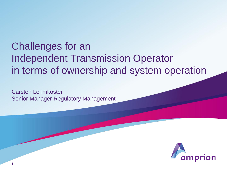# Challenges for an Independent Transmission Operator in terms of ownership and system operation

Carsten Lehmköster Senior Manager Regulatory Management

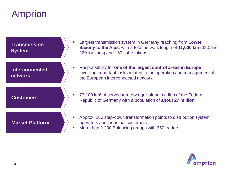# Amprion

| <b>Transmission</b><br><b>System</b> | Largest transmission system in Germany reaching from Lower<br>$\mathcal{L}_{\mathcal{A}}$<br>Saxony to the Alps, with a total network length of 11,000 km (380 and<br>220-kV lines) and 160 sub-stations |
|--------------------------------------|----------------------------------------------------------------------------------------------------------------------------------------------------------------------------------------------------------|
| <b>Interconnected</b><br>network     | Responsibility for one of the largest control areas in Europe<br>involving important tasks related to the operation and management of<br>the European interconnected network                             |
| <b>Customers</b>                     | 73,100 km <sup>2</sup> of served territory equivalent to a fifth of the Federal<br>$\mathcal{L}_{\mathcal{A}}$<br>Republic of Germany with a population of <b>about 27 million</b>                       |
| <b>Market Platform</b>               | Approx. 260 step-down transformation points to distribution system<br>operators and industrial customers<br>More than 2.200 Balancing groups with 350 traders<br>$\overline{\phantom{a}}$                |

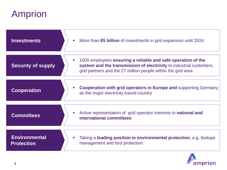# Amprion

| <b>Investments</b>                        | More than €5 billion of investments in grid expansion until 2024<br>$\mathcal{L}_{\mathcal{A}}$                                                                                                     |
|-------------------------------------------|-----------------------------------------------------------------------------------------------------------------------------------------------------------------------------------------------------|
| <b>Security of supply</b>                 | 1000 employees ensuring a reliable and safe operation of the<br>system and the transmission of electricity to industrial customers,<br>grid partners and the 27 million people within the grid area |
| <b>Cooperation</b>                        | <b>Cooperation with grid operators in Europe and supporting Germany</b><br>as the major electricity transit country                                                                                 |
| <b>Committees</b>                         | Active representation of grid operator interests in <b>national and</b><br>$\mathcal{L}_{\mathcal{A}}$<br>international committees                                                                  |
| <b>Environmental</b><br><b>Protection</b> | Taking a leading position in environmental protection, e.g. biotope<br>$\mathcal{L}_{\mathcal{A}}$<br>management and bird protection                                                                |

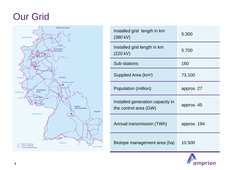### Our Grid



| Installed grid length in km<br>(380 kV)                   | 5.300       |
|-----------------------------------------------------------|-------------|
| Installed grid length in km<br>$(220 \text{ kV})$         | 5.700       |
| Sub-stations                                              | 160         |
| Supplied Area (km <sup>2</sup> )                          | 73.100      |
| Population (million)                                      | approx. 27  |
| Installed generation capacity in<br>the control area (GW) | approx. 45  |
| Annual transmission (TWh)                                 | approx. 194 |
| Biotope management area (ha)                              | 10.500      |

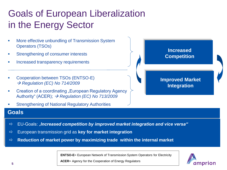## Goals of European Liberalization in the Energy Sector

- More effective unbundling of Transmission System Operators (TSOs)
- Strengthening of consumer interests
- Increased transparency requirements
- Cooperation between TSOs (ENTSO-E)  $→$  **Regulation (EC) No 714/2009**
- Creation of a coordinating "European Regulatory Agency Authority" (ACER); *Regulation (EC) No 713/2009*
- Strengthening of National Regulatory Authorities

#### **Increased Competition**

#### **Improved Market Integration**

#### **Goals**

- EU-Goals: "*Increased competition by improved market integration and vice versa"*
- European transmission grid as **key for market integration**
- **Reduction of market power by maximizing trade within the internal market**

**ENTSO-E**= European Network of Transmission System Operators for Electricity



**ACER**= Agency for the Cooperation of Energy Regulators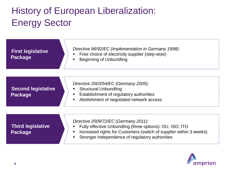## History of European Liberalization: Energy Sector

| <b>First legislative</b><br><b>Package</b>  | Directive 96/92/EC (implementation in Germany 1998):<br>Free choice of electricity supplier (step-wise)<br><b>Beginning of Unbundling</b>                                                                                                   |
|---------------------------------------------|---------------------------------------------------------------------------------------------------------------------------------------------------------------------------------------------------------------------------------------------|
|                                             |                                                                                                                                                                                                                                             |
| <b>Second legislative</b><br><b>Package</b> | Directive 2003/54/EC (Germany 2005):<br><b>Structural Unbundling</b><br>Establishment of regulatory authorities<br>Abolishment of negotiated network access<br>$\blacksquare$                                                               |
|                                             |                                                                                                                                                                                                                                             |
| <b>Third legislative</b><br><b>Package</b>  | Directive 2009/72/EC (Germany 2011):<br>Fully effective Unbundling (three options): OU, ISO, ITO<br>Increased rights for Customers (switch of supplier within 3 weeks)<br>$\blacksquare$<br>Stronger independence of regulatory authorities |

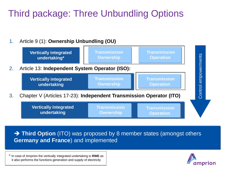## Third package: Three Unbundling Options

### 1. Article 9 (1): **Ownership Unbundling (OU)**



→ Third Option (ITO) was proposed by 8 member states (amongst others **Germany and France**) and implemented

\* In case of Amprion the vertically integrated undertaking is **RWE** as it also performs the functions generation and supply of electricity

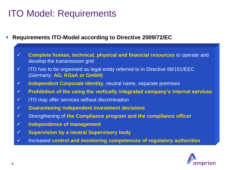### ITO Model: Requirements

- **Requirements ITO-Model according to Directive 2009/72/EC**
	- **Complete human, technical, physical and financial resources** to operate and develop the transmission grid
	- $\checkmark$  ITO has to be organised as legal entity referred to in Directive 68/151/EEC (Germany: **AG, KGaA or GmbH)**
	- **Independent Corporate Identity**, neutral name, separate premises
	- **Prohibition of the using the vertically integrated company's internal services**
	- $\checkmark$  ITO may offer services without discrimination
	- **Guaranteeing independent investment decisions**
	- Strengthening of **the Compliance program and the compliance officer**
	- **Independence of management**
	- **Supervision by a neutral Supervisory body**
	- Increased **control and monitoring competences of regulatory authorities**

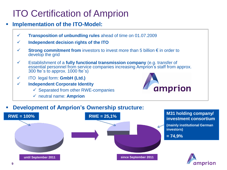### ITO Certification of Amprion

### **Implementation of the ITO-Model:**

- **Transposition of unbundling rules** ahead of time on 01.07.2009
- **Independent decision rights of the ITO**
- **Strong commitment from** investors to invest more than 5 billion € in order to develop the grid
- Establishment of a **fully functional transmission company** (e.g. transfer of essential personnel from service companies increasing Amprion's staff from approx. 300 fte`s to approx. 1000 fte`s)
- ITO legal form: **GmbH (Ltd.)**
- **Independent Corporate Identity**
	- $\checkmark$  Separated from other RWE-companies
	- neutral name: **Amprion**



### **Development of Amprion's Ownership structure:**

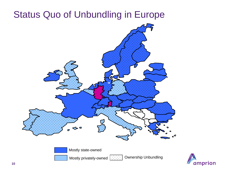### Status Quo of Unbundling in Europe



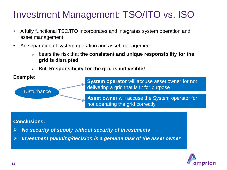### Investment Management: TSO/ITO vs. ISO

- A fully functional TSO/ITO incorporates and integrates system operation and asset management
- An separation of system operation and asset management
	- bears the risk that **the consistent and unique responsibility for the grid is disrupted**
	- But: **Responsibility for the grid is indivisible!**

#### **Example:**

**System operator** will accuse asset owner for not delivering a grid that is fit for purpose

**Asset owner** will accuse the System operator for not operating the grid correctly

#### **Conclusions:**

**Disturbance** 

- *No security of supply without security of investments*
- *Investment planning/decision is a genuine task of the asset owner*

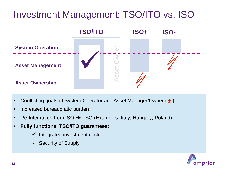### Investment Management: TSO/ITO vs. ISO



- Conflicting goals of System Operator and Asset Manager/Owner ( $\leq$ )
- Increased bureaucratic burden
- Re-Integration from ISO  $\rightarrow$  TSO (Examples: Italy; Hungary; Poland)
- **Fully functional TSO/ITO guarantees:**
	- $\checkmark$  Integrated investment circle
	- $\checkmark$  Security of Supply

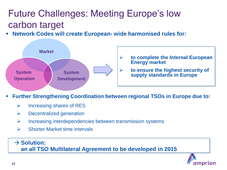## Future Challenges: Meeting Europe's low carbon target

**Network Codes will create European- wide harmonised rules for:** 



- **to complete the Internal European Energy market**
- **to ensure the highest security of supply standards in Europe**
- **Further Strengthening Coordination between regional TSOs in Europe due to:**
	- $\triangleright$  Increasing shares of RES
	- $\triangleright$  Decentralized generation
	- $\triangleright$  Increasing interdependencies between transmission systems
	- $\triangleright$  Shorter Market time intervals

#### → Solution: **an all TSO Multilateral Agreement to be developed in 2015**

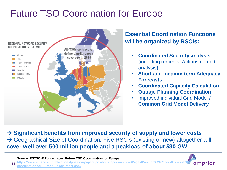### Future TSO Coordination for Europe



### **Essential Coordination Functions will be organized by RSCIs:**

- **Coordinated Security analysis**  (including remedial Actions related analysis)
- **Short and medium term Adequacy Forecasts**
- **Coordinated Capacity Calculation**
- **Outage Planning Coordination**
- Improved individual Grid Model / **Common Grid Model Delivery**

**→ Significant benefits from improved security of supply and lower costs** → Geographical Size of Coordination: Five RSCIs (existing or new) altogether will **cover well over 500 million people and a peakload of about 530 GW** 

**Source: ENTSO-E Policy paper: Future TSO Coordination for Europe**

**[coordination-for-Europe-Policy-Paper.aspx](https://www.entsoe.eu/publications/position-papers/position-papers-archive/Pages/Position Papers/Future-TSO-coordination-for-Europe-Policy-Paper.aspx)**

**14**